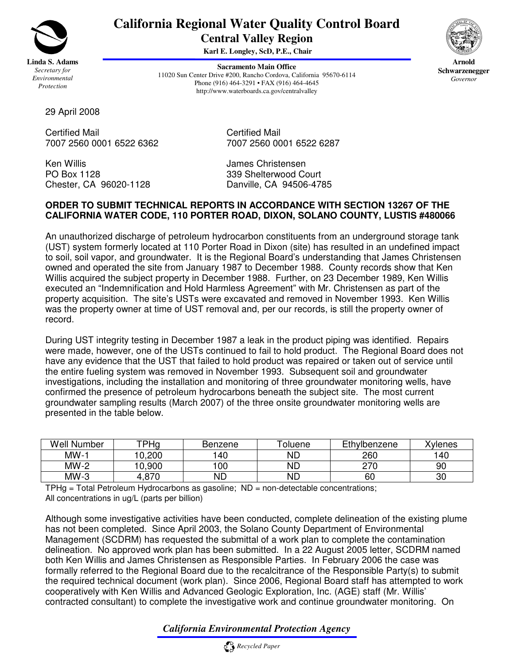

## **California Regional Water Quality Control Board Central Valley Region**

**Karl E. Longley, ScD, P.E., Chair**

**Sacramento Main Office** 11020 Sun Center Drive #200, Rancho Cordova, California 95670-6114 Phone (916) 464-3291 • FAX (916) 464-4645 http://www.waterboards.ca.gov/centralvalley



**Arnold Schwarzenegger** *Governor*

29 April 2008

7007 2560 0001 6522 6362 7007 2560 0001 6522 6287

Ken Willis **Allen Christensen** James Christensen Chester, CA 96020-1128

Certified Mail<br>7007 2560 0001 6522 6362<br>7007 2560 0001 6522 6362

PO Box 1128 339 Shelterwood Court<br>Chester, CA 96020-1128 Danville, CA 94506-4785

## **ORDER TO SUBMIT TECHNICAL REPORTS IN ACCORDANCE WITH SECTION 13267 OF THE CALIFORNIA WATER CODE, 110 PORTER ROAD, DIXON, SOLANO COUNTY, LUSTIS #480066**

An unauthorized discharge of petroleum hydrocarbon constituents from an underground storage tank (UST) system formerly located at 110 Porter Road in Dixon (site) has resulted in an undefined impact to soil, soil vapor, and groundwater. It is the Regional Board's understanding that James Christensen owned and operated the site from January 1987 to December 1988. County records show that Ken Willis acquired the subject property in December 1988. Further, on 23 December 1989, Ken Willis executed an "Indemnification and Hold Harmless Agreement" with Mr. Christensen as part of the property acquisition. The site's USTs were excavated and removed in November 1993. Ken Willis was the property owner at time of UST removal and, per our records, is still the property owner of record.

During UST integrity testing in December 1987 a leak in the product piping was identified. Repairs were made, however, one of the USTs continued to fail to hold product. The Regional Board does not have any evidence that the UST that failed to hold product was repaired or taken out of service until the entire fueling system was removed in November 1993. Subsequent soil and groundwater investigations, including the installation and monitoring of three groundwater monitoring wells, have confirmed the presence of petroleum hydrocarbons beneath the subject site. The most current groundwater sampling results (March 2007) of the three onsite groundwater monitoring wells are presented in the table below.

| Well<br>Number | TPHg   | Benzene | oluene | Ethylbenzene | <b>Xylenes</b> |
|----------------|--------|---------|--------|--------------|----------------|
| MW-1           | 10.200 | 40      | ΝD     | 260          | 140            |
| MW-2           | 0.900  | 00      | ΝD     | 270<br>_ _   | 90             |
| $MW-3$         | .87C   | ND      | ΝD     | 60           | 30             |

 $THHg = Total Petroleum Hydrocarbons$ ; as gasoline;  $ND = non-detectable concentrations$ ; All concentrations in ug/L (parts per billion)

Although some investigative activities have been conducted, complete delineation of the existing plume has not been completed. Since April 2003, the Solano County Department of Environmental Management (SCDRM) has requested the submittal of a work plan to complete the contamination delineation. No approved work plan has been submitted. In a 22 August 2005 letter, SCDRM named both Ken Willis and James Christensen as Responsible Parties. In February 2006 the case was formally referred to the Regional Board due to the recalcitrance of the Responsible Party(s) to submit the required technical document (work plan). Since 2006, Regional Board staff has attempted to work cooperatively with Ken Willis and Advanced Geologic Exploration, Inc. (AGE) staff (Mr. Willis' contracted consultant) to complete the investigative work and continue groundwater monitoring. On

## *California Environmental Protection Agency*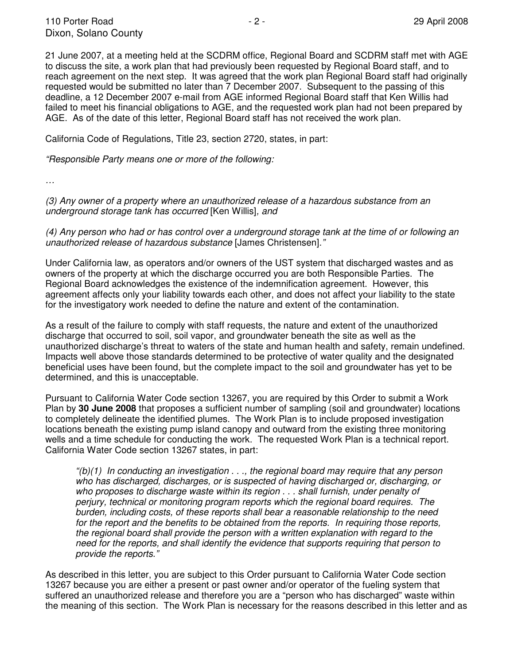21 June 2007, at a meeting held at the SCDRM office, Regional Board and SCDRM staff met with AGE to discuss the site, a work plan that had previously been requested by Regional Board staff, and to reach agreement on the next step. It was agreed that the work plan Regional Board staff had originally requested would be submitted no later than 7 December 2007. Subsequent to the passing of this deadline, a 12 December 2007 e-mail from AGE informed Regional Board staff that Ken Willis had failed to meet his financial obligations to AGE, and the requested work plan had not been prepared by AGE. As of the date of this letter, Regional Board staff has not received the work plan.

California Code of Regulations, Title 23, section 2720, states, in part:

*"Responsible Party means one or more of the following:*

*…*

*(3) Any owner of a property where an unauthorized release of a hazardous substance from an underground storage tank has occurred* [Ken Willis]*, and*

(4) Any person who had or has control over a underground storage tank at the time of or following an *unauthorized release of hazardous substance* [James Christensen]*."*

Under California law, as operators and/or owners of the UST system that discharged wastes and as owners of the property at which the discharge occurred you are both Responsible Parties. The Regional Board acknowledges the existence of the indemnification agreement. However, this agreement affects only your liability towards each other, and does not affect your liability to the state for the investigatory work needed to define the nature and extent of the contamination.

As a result of the failure to comply with staff requests, the nature and extent of the unauthorized discharge that occurred to soil, soil vapor, and groundwater beneath the site as well as the unauthorized discharge's threat to waters of the state and human health and safety, remain undefined. Impacts well above those standards determined to be protective of water quality and the designated beneficial uses have been found, but the complete impact to the soil and groundwater has yet to be determined, and this is unacceptable.

Pursuant to California Water Code section 13267, you are required by this Order to submit a Work Plan by **30 June 2008** that proposes a sufficient number of sampling (soil and groundwater) locations to completely delineate the identified plumes. The Work Plan is to include proposed investigation locations beneath the existing pump island canopy and outward from the existing three monitoring wells and a time schedule for conducting the work. The requested Work Plan is a technical report. California Water Code section 13267 states, in part:

*"(b)(1) In conducting an investigation . . ., the regional board may require that any person who has discharged, discharges, or is suspected of having discharged or, discharging, or who proposes to discharge waste within its region . . . shall furnish, under penalty of perjury, technical or monitoring program reports which the regional board requires. The burden, including costs, of these reports shall bear a reasonable relationship to the need for the report and the benefits to be obtained from the reports. In requiring those reports, the regional board shall provide the person with a written explanation with regard to the need for the reports, and shall identify the evidence that supports requiring that person to provide the reports."*

As described in this letter, you are subject to this Order pursuant to California Water Code section 13267 because you are either a present or past owner and/or operator of the fueling system that suffered an unauthorized release and therefore you are a "person who has discharged" waste within the meaning of this section. The Work Plan is necessary for the reasons described in this letter and as